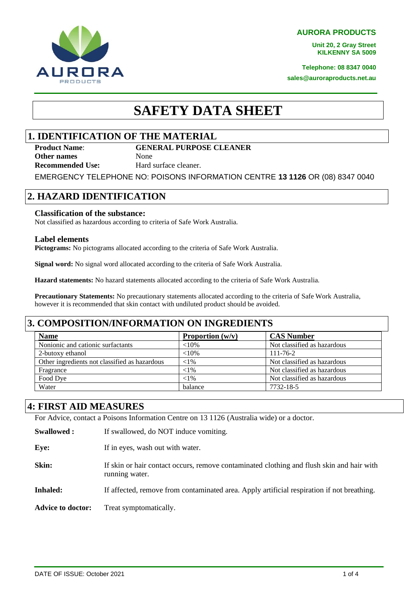**AURORA PRODUCTS**

**Unit 20, 2 Gray Street KILKENNY SA 5009**

**Telephone: 08 8347 0040 sales@auroraproducts.net.au**



# **SAFETY DATA SHEET**

# **1. IDENTIFICATION OF THE MATERIAL**

**Product Name**: **GENERAL PURPOSE CLEANER Other names** None **Recommended Use:** Hard surface cleaner.

EMERGENCY TELEPHONE NO: POISONS INFORMATION CENTRE **13 1126** OR (08) 8347 0040

# **2. HAZARD IDENTIFICATION**

#### **Classification of the substance:**

Not classified as hazardous according to criteria of Safe Work Australia.

#### **Label elements**

**Pictograms:** No pictograms allocated according to the criteria of Safe Work Australia.

**Signal word:** No signal word allocated according to the criteria of Safe Work Australia.

**Hazard statements:** No hazard statements allocated according to the criteria of Safe Work Australia.

**Precautionary Statements:** No precautionary statements allocated according to the criteria of Safe Work Australia, however it is recommended that skin contact with undiluted product should be avoided.

### **3. COMPOSITION/INFORMATION ON INGREDIENTS**

| <b>Name</b>                                   | Proportion $(w/v)$ | <b>CAS Number</b>           |
|-----------------------------------------------|--------------------|-----------------------------|
| Nonionic and cationic surfactants             | ${<}10\%$          | Not classified as hazardous |
| 2-butoxy ethanol                              | ${<}10%$           | $111 - 76 - 2$              |
| Other ingredients not classified as hazardous | ${<}1\%$           | Not classified as hazardous |
| Fragrance                                     | ${<}1\%$           | Not classified as hazardous |
| Food Dve                                      | ${<}1\%$           | Not classified as hazardous |
| Water                                         | balance            | 7732-18-5                   |

# **4: FIRST AID MEASURES**

For Advice, contact a Poisons Information Centre on 13 1126 (Australia wide) or a doctor.

| <b>Swallowed:</b>        | If swallowed, do NOT induce vomiting.                                                                       |
|--------------------------|-------------------------------------------------------------------------------------------------------------|
| Eye:                     | If in eyes, wash out with water.                                                                            |
| Skin:                    | If skin or hair contact occurs, remove contaminated clothing and flush skin and hair with<br>running water. |
| <b>Inhaled:</b>          | If affected, remove from contaminated area. Apply artificial respiration if not breathing.                  |
| <b>Advice to doctor:</b> | Treat symptomatically.                                                                                      |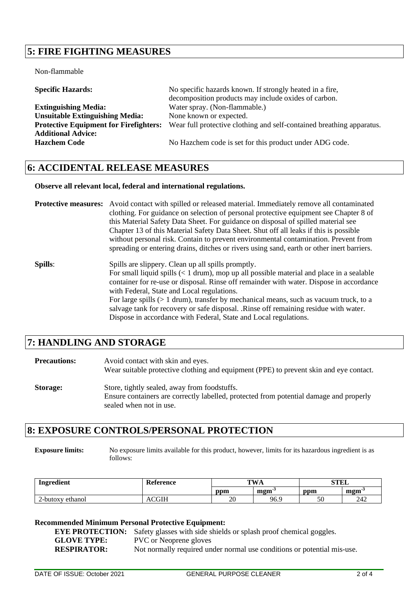# **5: FIRE FIGHTING MEASURES**

Non-flammable

| <b>Specific Hazards:</b>                      | No specific hazards known. If strongly heated in a fire,              |
|-----------------------------------------------|-----------------------------------------------------------------------|
|                                               | decomposition products may include oxides of carbon.                  |
| <b>Extinguishing Media:</b>                   | Water spray. (Non-flammable.)                                         |
| <b>Unsuitable Extinguishing Media:</b>        | None known or expected.                                               |
| <b>Protective Equipment for Firefighters:</b> | Wear full protective clothing and self-contained breathing apparatus. |
| <b>Additional Advice:</b>                     |                                                                       |
| <b>Hazchem Code</b>                           | No Hazchem code is set for this product under ADG code.               |
|                                               |                                                                       |

### **6: ACCIDENTAL RELEASE MEASURES**

#### **Observe all relevant local, federal and international regulations.**

| <b>Protective measures:</b> Avoid contact with spilled or released material. Immediately remove all contaminated |
|------------------------------------------------------------------------------------------------------------------|
| clothing. For guidance on selection of personal protective equipment see Chapter 8 of                            |
| this Material Safety Data Sheet. For guidance on disposal of spilled material see                                |
| Chapter 13 of this Material Safety Data Sheet. Shut off all leaks if this is possible                            |
| without personal risk. Contain to prevent environmental contamination. Prevent from                              |
| spreading or entering drains, ditches or rivers using sand, earth or other inert barriers.                       |

**Spills**: Spills are slippery. Clean up all spills promptly. For small liquid spills (< 1 drum), mop up all possible material and place in a sealable container for re-use or disposal. Rinse off remainder with water. Dispose in accordance with Federal, State and Local regulations. For large spills (> 1 drum), transfer by mechanical means, such as vacuum truck, to a salvage tank for recovery or safe disposal. .Rinse off remaining residue with water. Dispose in accordance with Federal, State and Local regulations.

### **7: HANDLING AND STORAGE**

| <b>Precautions:</b> | Avoid contact with skin and eyes.<br>Wear suitable protective clothing and equipment (PPE) to prevent skin and eye contact.                                       |
|---------------------|-------------------------------------------------------------------------------------------------------------------------------------------------------------------|
| <b>Storage:</b>     | Store, tightly sealed, away from foodstuffs.<br>Ensure containers are correctly labelled, protected from potential damage and properly<br>sealed when not in use. |

### **8: EXPOSURE CONTROLS/PERSONAL PROTECTION**

**Exposure limits:** No exposure limits available for this product, however, limits for its hazardous ingredient is as follows:

| Ingredient          | Reference | $\mathbf{T}$ <b>VX</b> $\prime$<br>P |                        | <b>CTLI</b><br>ƏILL |                          |
|---------------------|-----------|--------------------------------------|------------------------|---------------------|--------------------------|
|                     |           | ppm                                  | $\mathbf{m}\mathbf{m}$ | ppm                 | $\mathbf{m}\mathbf{m}$ . |
| ethanol<br>∠-butoxv | un        | ററ<br>ZU                             | 96.9                   | FΩ<br>υU            | 242                      |

#### **Recommended Minimum Personal Protective Equipment:**

**EYE PROTECTION:** Safety glasses with side shields or splash proof chemical goggles. **GLOVE TYPE:** PVC or Neoprene gloves **RESPIRATOR:** Not normally required under normal use conditions or potential mis-use.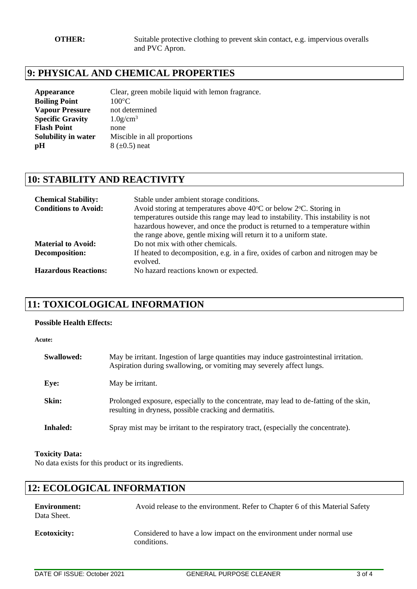# **9: PHYSICAL AND CHEMICAL PROPERTIES**

| Appearance              | Clear, green mobile liquid with lemon fragrance. |
|-------------------------|--------------------------------------------------|
| <b>Boiling Point</b>    | $100^{\circ}$ C                                  |
| <b>Vapour Pressure</b>  | not determined                                   |
| <b>Specific Gravity</b> | $1.0$ g/cm <sup>3</sup>                          |
| <b>Flash Point</b>      | none                                             |
| Solubility in water     | Miscible in all proportions                      |
| pH                      | $8 \ (\pm 0.5)$ neat                             |
|                         |                                                  |

# **10: STABILITY AND REACTIVITY**

| <b>Chemical Stability:</b><br><b>Conditions to Avoid:</b> | Stable under ambient storage conditions.<br>Avoid storing at temperatures above 40°C or below 2°C. Storing in<br>temperatures outside this range may lead to instability. This instability is not<br>hazardous however, and once the product is returned to a temperature within<br>the range above, gentle mixing will return it to a uniform state. |
|-----------------------------------------------------------|-------------------------------------------------------------------------------------------------------------------------------------------------------------------------------------------------------------------------------------------------------------------------------------------------------------------------------------------------------|
| <b>Material to Avoid:</b>                                 | Do not mix with other chemicals.                                                                                                                                                                                                                                                                                                                      |
| Decomposition:                                            | If heated to decomposition, e.g. in a fire, oxides of carbon and nitrogen may be<br>evolved.                                                                                                                                                                                                                                                          |
| <b>Hazardous Reactions:</b>                               | No hazard reactions known or expected.                                                                                                                                                                                                                                                                                                                |

# **11: TOXICOLOGICAL INFORMATION**

#### **Possible Health Effects:**

| Acute:     |                                                                                                                                                                |
|------------|----------------------------------------------------------------------------------------------------------------------------------------------------------------|
| Swallowed: | May be irritant. Ingestion of large quantities may induce gastrointestinal irritation.<br>Aspiration during swallowing, or vomiting may severely affect lungs. |
| Eye:       | May be irritant.                                                                                                                                               |
| Skin:      | Prolonged exposure, especially to the concentrate, may lead to de-fatting of the skin,<br>resulting in dryness, possible cracking and dermatitis.              |
| Inhaled:   | Spray mist may be irritant to the respiratory tract, (especially the concentrate).                                                                             |

#### **Toxicity Data:**

No data exists for this product or its ingredients.

# **12: ECOLOGICAL INFORMATION**

| <b>Environment:</b><br>Data Sheet. | Avoid release to the environment. Refer to Chapter 6 of this Material Safety       |
|------------------------------------|------------------------------------------------------------------------------------|
| <b>Ecotoxicity:</b>                | Considered to have a low impact on the environment under normal use<br>conditions. |